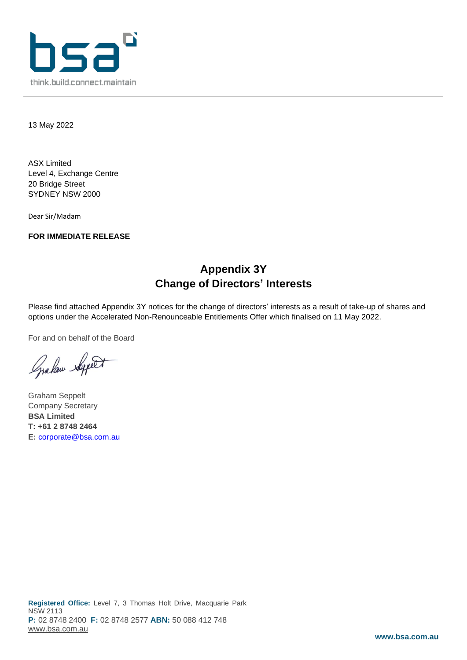

13 May 2022

ASX Limited Level 4, Exchange Centre 20 Bridge Street SYDNEY NSW 2000

Dear Sir/Madam

**FOR IMMEDIATE RELEASE**

# **Appendix 3Y Change of Directors' Interests**

Please find attached Appendix 3Y notices for the change of directors' interests as a result of take-up of shares and options under the Accelerated Non-Renounceable Entitlements Offer which finalised on 11 May 2022.

For and on behalf of the Board

Graham Septet

Graham Seppelt Company Secretary **BSA Limited T: +61 2 8748 2464 E:** [corporate@bsa.com.au](mailto:corporate@bsa.com.au)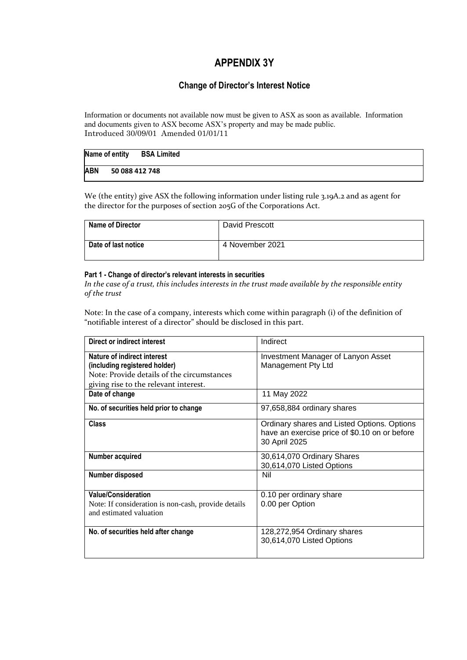## **APPENDIX 3Y**

### **Change of Director's Interest Notice**

Information or documents not available now must be given to ASX as soon as available. Information and documents given to ASX become ASX's property and may be made public. Introduced 30/09/01 Amended 01/01/11

## **Name of entity BSA Limited ABN 50 088 412 748**

We (the entity) give ASX the following information under listing rule 3.19A.2 and as agent for the director for the purposes of section 205G of the Corporations Act.

| <b>Name of Director</b> | David Prescott  |
|-------------------------|-----------------|
| Date of last notice     | 4 November 2021 |

#### **Part 1 - Change of director's relevant interests in securities**

*In the case of a trust, this includes interests in the trust made available by the responsible entity of the trust*

Note: In the case of a company, interests which come within paragraph (i) of the definition of "notifiable interest of a director" should be disclosed in this part.

| <b>Direct or indirect interest</b>                                                                                                                  | Indirect                                                                                                      |
|-----------------------------------------------------------------------------------------------------------------------------------------------------|---------------------------------------------------------------------------------------------------------------|
| Nature of indirect interest<br>(including registered holder)<br>Note: Provide details of the circumstances<br>giving rise to the relevant interest. | <b>Investment Manager of Lanyon Asset</b><br>Management Pty Ltd                                               |
| Date of change                                                                                                                                      | 11 May 2022                                                                                                   |
| No. of securities held prior to change                                                                                                              | 97,658,884 ordinary shares                                                                                    |
| <b>Class</b>                                                                                                                                        | Ordinary shares and Listed Options. Options<br>have an exercise price of \$0.10 on or before<br>30 April 2025 |
| Number acquired                                                                                                                                     | 30,614,070 Ordinary Shares<br>30,614,070 Listed Options                                                       |
| <b>Number disposed</b>                                                                                                                              | Nil                                                                                                           |
| <b>Value/Consideration</b><br>Note: If consideration is non-cash, provide details<br>and estimated valuation                                        | 0.10 per ordinary share<br>0.00 per Option                                                                    |
| No. of securities held after change                                                                                                                 | 128,272,954 Ordinary shares<br>30,614,070 Listed Options                                                      |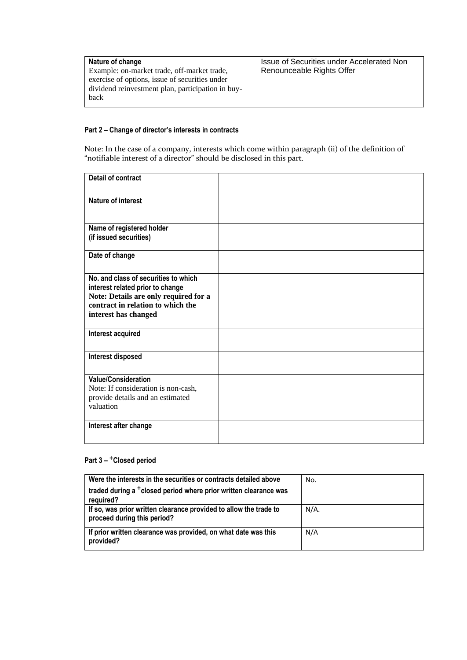| Nature of change<br>Example: on-market trade, off-market trade,<br>exercise of options, issue of securities under<br>dividend reinvestment plan, participation in buy-<br>back | Issue of Securities under Accelerated Non<br>Renounceable Rights Offer |
|--------------------------------------------------------------------------------------------------------------------------------------------------------------------------------|------------------------------------------------------------------------|
|--------------------------------------------------------------------------------------------------------------------------------------------------------------------------------|------------------------------------------------------------------------|

#### **Part 2 – Change of director's interests in contracts**

Note: In the case of a company, interests which come within paragraph (ii) of the definition of "notifiable interest of a director" should be disclosed in this part.

| <b>Detail of contract</b>                                                                                                                                                      |  |
|--------------------------------------------------------------------------------------------------------------------------------------------------------------------------------|--|
| <b>Nature of interest</b>                                                                                                                                                      |  |
| Name of registered holder<br>(if issued securities)                                                                                                                            |  |
| Date of change                                                                                                                                                                 |  |
| No, and class of securities to which<br>interest related prior to change<br>Note: Details are only required for a<br>contract in relation to which the<br>interest has changed |  |
| Interest acquired                                                                                                                                                              |  |
| Interest disposed                                                                                                                                                              |  |
| <b>Value/Consideration</b><br>Note: If consideration is non-cash,<br>provide details and an estimated<br>valuation                                                             |  |
| Interest after change                                                                                                                                                          |  |

#### **Part 3 –** +**Closed period**

| Were the interests in the securities or contracts detailed above                                 | No.     |
|--------------------------------------------------------------------------------------------------|---------|
| traded during a <sup>+</sup> closed period where prior written clearance was<br>required?        |         |
| If so, was prior written clearance provided to allow the trade to<br>proceed during this period? | $N/A$ . |
| If prior written clearance was provided, on what date was this<br>provided?                      | N/A     |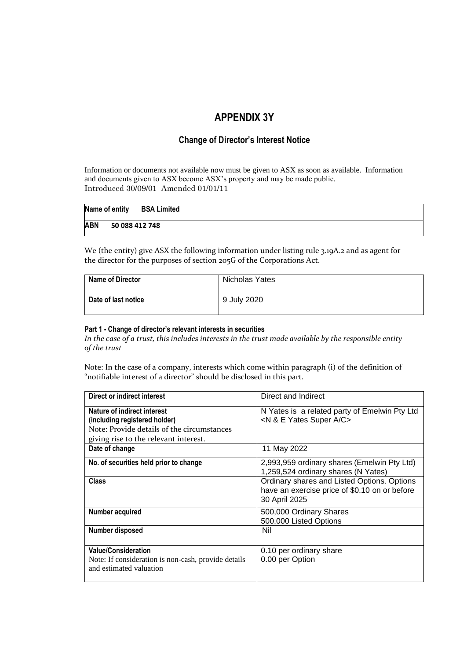## **APPENDIX 3Y**

### **Change of Director's Interest Notice**

Information or documents not available now must be given to ASX as soon as available. Information and documents given to ASX become ASX's property and may be made public. Introduced 30/09/01 Amended 01/01/11

| Name of entity | <b>BSA Limited</b> |  |
|----------------|--------------------|--|
| <b>ABN</b>     | 50 088 412 748     |  |

We (the entity) give ASX the following information under listing rule 3.19A.2 and as agent for the director for the purposes of section 205G of the Corporations Act.

| <b>Name of Director</b> | Nicholas Yates |
|-------------------------|----------------|
| Date of last notice     | 9 July 2020    |

#### **Part 1 - Change of director's relevant interests in securities**

*In the case of a trust, this includes interests in the trust made available by the responsible entity of the trust*

Note: In the case of a company, interests which come within paragraph (i) of the definition of "notifiable interest of a director" should be disclosed in this part.

| Direct or indirect interest                                                                                  | Direct and Indirect                                                                                           |
|--------------------------------------------------------------------------------------------------------------|---------------------------------------------------------------------------------------------------------------|
| Nature of indirect interest<br>(including registered holder)<br>Note: Provide details of the circumstances   | N Yates is a related party of Emelwin Pty Ltd<br><n &="" a="" c="" e="" super="" yates=""></n>                |
| giving rise to the relevant interest.                                                                        |                                                                                                               |
| Date of change                                                                                               | 11 May 2022                                                                                                   |
| No. of securities held prior to change                                                                       | 2,993,959 ordinary shares (Emelwin Pty Ltd)<br>1,259,524 ordinary shares (N Yates)                            |
| <b>Class</b>                                                                                                 | Ordinary shares and Listed Options. Options<br>have an exercise price of \$0.10 on or before<br>30 April 2025 |
| Number acquired                                                                                              | 500,000 Ordinary Shares<br>500.000 Listed Options                                                             |
| Number disposed                                                                                              | Nil                                                                                                           |
| <b>Value/Consideration</b><br>Note: If consideration is non-cash, provide details<br>and estimated valuation | 0.10 per ordinary share<br>0.00 per Option                                                                    |